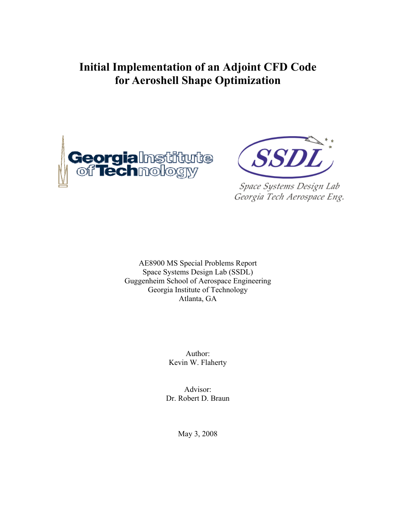# **Initial Implementation of an Adjoint CFD Code for Aeroshell Shape Optimization**





Space Systems Design Lab Georgia Tech Aerospace Eng.

AE8900 MS Special Problems Report Space Systems Design Lab (SSDL) Guggenheim School of Aerospace Engineering Georgia Institute of Technology Atlanta, GA

> Author: Kevin W. Flaherty

Advisor: Dr. Robert D. Braun

May 3, 2008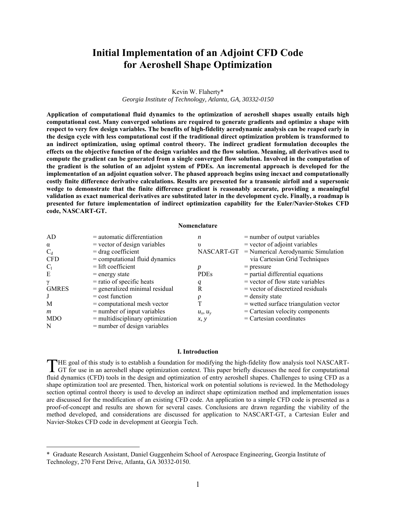## **Initial Implementation of an Adjoint CFD Code for Aeroshell Shape Optimization**

## Kevin W. Flaherty\* *Georgia Institute of Technology, Atlanta, GA, 30332-0150*

**Application of computational fluid dynamics to the optimization of aeroshell shapes usually entails high computational cost. Many converged solutions are required to generate gradients and optimize a shape with respect to very few design variables. The benefits of high-fidelity aerodynamic analysis can be reaped early in the design cycle with less computational cost if the traditional direct optimization problem is transformed to an indirect optimization, using optimal control theory. The indirect gradient formulation decouples the effects on the objective function of the design variables and the flow solution. Meaning, all derivatives used to compute the gradient can be generated from a single converged flow solution. Involved in the computation of the gradient is the solution of an adjoint system of PDEs. An incremental approach is developed for the implementation of an adjoint equation solver. The phased approach begins using inexact and computationally costly finite difference derivative calculations. Results are presented for a transonic airfoil and a supersonic wedge to demonstrate that the finite difference gradient is reasonably accurate, providing a meaningful validation as exact numerical derivatives are substituted later in the development cycle. Finally, a roadmap is presented for future implementation of indirect optimization capability for the Euler/Navier-Stokes CFD code, NASCART-GT.** 

#### **Nomenclature**

| AD               | $=$ automatic differentiation      | n             | $=$ number of output variables                |
|------------------|------------------------------------|---------------|-----------------------------------------------|
| $\alpha$         | $=$ vector of design variables     | $\upsilon$    | $=$ vector of adjoint variables               |
| $C_d$            | $=$ drag coefficient               |               | NASCART-GT = Numerical Aerodynamic Simulation |
| <b>CFD</b>       | $=$ computational fluid dynamics   |               | via Cartesian Grid Techniques                 |
| $C_1$            | $=$ lift coefficient               |               | $=$ pressure                                  |
| E                | $=$ energy state                   | <b>PDEs</b>   | $=$ partial differential equations            |
| $\gamma$         | $=$ ratio of specific heats        | q             | $=$ vector of flow state variables            |
| <b>GMRES</b>     | $=$ generalized minimal residual   | R             | $=$ vector of discretized residuals           |
| J                | $=$ cost function                  | ρ             | $=$ density state                             |
| M                | $=$ computational mesh vector      | T             | $=$ wetted surface triangulation vector       |
| $\boldsymbol{m}$ | $=$ number of input variables      | $u_x$ , $u_y$ | $=$ Cartesian velocity components             |
| <b>MDO</b>       | $=$ multidisciplinary optimization | x, y          | $=$ Cartesian coordinates                     |
| N                | $=$ number of design variables     |               |                                               |

#### **I. Introduction**

HE goal of this study is to establish a foundation for modifying the high-fidelity flow analysis tool NASCART-THE goal of this study is to establish a foundation for modifying the high-fidelity flow analysis tool NASCART-<br>GT for use in an aeroshell shape optimization context. This paper briefly discusses the need for computational fluid dynamics (CFD) tools in the design and optimization of entry aeroshell shapes. Challenges to using CFD as a shape optimization tool are presented. Then, historical work on potential solutions is reviewed. In the Methodology section optimal control theory is used to develop an indirect shape optimization method and implementation issues are discussed for the modification of an existing CFD code. An application to a simple CFD code is presented as a proof-of-concept and results are shown for several cases. Conclusions are drawn regarding the viability of the method developed, and considerations are discussed for application to NASCART-GT, a Cartesian Euler and Navier-Stokes CFD code in development at Georgia Tech.

 $\overline{a}$ 

<sup>\*</sup> Graduate Research Assistant, Daniel Guggenheim School of Aerospace Engineering, Georgia Institute of Technology, 270 Ferst Drive, Atlanta, GA 30332-0150.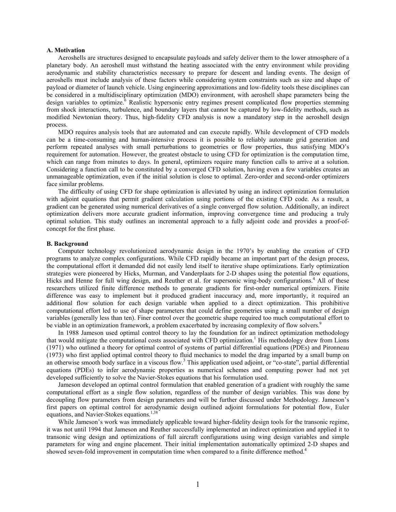## **A. Motivation**

Aeroshells are structures designed to encapsulate payloads and safely deliver them to the lower atmosphere of a planetary body. An aeroshell must withstand the heating associated with the entry environment while providing aerodynamic and stability characteristics necessary to prepare for descent and landing events. The design of aeroshells must include analysis of these factors while considering system constraints such as size and shape of payload or diameter of launch vehicle. Using engineering approximations and low-fidelity tools these disciplines can be considered in a multidisciplinary optimization (MDO) environment, with aeroshell shape parameters being the design variables to optimize.<sup>6</sup> Realistic hypersonic entry regimes present complicated flow properties stemming from shock interactions, turbulence, and boundary layers that cannot be captured by low-fidelity methods, such as modified Newtonian theory. Thus, high-fidelity CFD analysis is now a mandatory step in the aeroshell design process.

MDO requires analysis tools that are automated and can execute rapidly. While development of CFD models can be a time-consuming and human-intensive process it is possible to reliably automate grid generation and perform repeated analyses with small perturbations to geometries or flow properties, thus satisfying MDO's requirement for automation. However, the greatest obstacle to using CFD for optimization is the computation time, which can range from minutes to days. In general, optimizers require many function calls to arrive at a solution. Considering a function call to be constituted by a converged CFD solution, having even a few variables creates an unmanageable optimization, even if the initial solution is close to optimal. Zero-order and second-order optimizers face similar problems.

The difficulty of using CFD for shape optimization is alleviated by using an indirect optimization formulation with adjoint equations that permit gradient calculation using portions of the existing CFD code. As a result, a gradient can be generated using numerical derivatives of a single converged flow solution. Additionally, an indirect optimization delivers more accurate gradient information, improving convergence time and producing a truly optimal solution. This study outlines an incremental approach to a fully adjoint code and provides a proof-ofconcept for the first phase.

#### **B. Background**

Computer technology revolutionized aerodynamic design in the 1970's by enabling the creation of CFD programs to analyze complex configurations. While CFD rapidly became an important part of the design process, the computational effort it demanded did not easily lend itself to iterative shape optimizations. Early optimization strategies were pioneered by Hicks, Murman, and Vanderplaats for 2-D shapes using the potential flow equations, Hicks and Henne for full wing design, and Reuther et al. for supersonic wing-body configurations.<sup>4</sup> All of these researchers utilized finite difference methods to generate gradients for first-order numerical optimizers. Finite difference was easy to implement but it produced gradient inaccuracy and, more importantly, it required an additional flow solution for each design variable when applied to a direct optimization. This prohibitive computational effort led to use of shape parameters that could define geometries using a small number of design variables (generally less than ten). Finer control over the geometric shape required too much computational effort to be viable in an optimization framework, a problem exacerbated by increasing complexity of flow solvers.<sup>9</sup>

In 1988 Jameson used optimal control theory to lay the foundation for an indirect optimization methodology that would mitigate the computational costs associated with CFD optimization.<sup>1</sup> His methodology drew from Lions (1971) who outlined a theory for optimal control of systems of partial differential equations (PDEs) and Pironneau (1973) who first applied optimal control theory to fluid mechanics to model the drag imparted by a small bump on an otherwise smooth body surface in a viscous flow.<sup>3</sup> This application used adjoint, or "co-state", partial differential equations (PDEs) to infer aerodynamic properties as numerical schemes and computing power had not yet developed sufficiently to solve the Navier-Stokes equations that his formulation used.

Jameson developed an optimal control formulation that enabled generation of a gradient with roughly the same computational effort as a single flow solution, regardless of the number of design variables. This was done by decoupling flow parameters from design parameters and will be further discussed under Methodology. Jameson's first papers on optimal control for aerodynamic design outlined adjoint formulations for potential flow, Euler equations, and Navier-Stokes equations.<sup>1,38</sup>

While Jameson's work was immediately applicable toward higher-fidelity design tools for the transonic regime, it was not until 1994 that Jameson and Reuther successfully implemented an indirect optimization and applied it to transonic wing design and optimizations of full aircraft configurations using wing design variables and simple parameters for wing and engine placement. Their initial implementation automatically optimized 2-D shapes and showed seven-fold improvement in computation time when compared to a finite difference method.<sup>4</sup>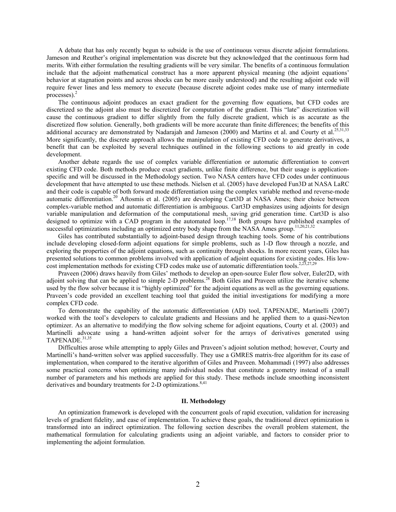A debate that has only recently begun to subside is the use of continuous versus discrete adjoint formulations. Jameson and Reuther's original implementation was discrete but they acknowledged that the continuous form had merits. With either formulation the resulting gradients will be very similar. The benefits of a continuous formulation include that the adjoint mathematical construct has a more apparent physical meaning (the adjoint equations' behavior at stagnation points and across shocks can be more easily understood) and the resulting adjoint code will require fewer lines and less memory to execute (because discrete adjoint codes make use of many intermediate processes). $<sup>2</sup>$ </sup>

The continuous adjoint produces an exact gradient for the governing flow equations, but CFD codes are discretized so the adjoint also must be discretized for computation of the gradient. This "late" discretization will cause the continuous gradient to differ slightly from the fully discrete gradient, which is as accurate as the discretized flow solution. Generally, both gradients will be more accurate than finite differences; the benefits of this additional accuracy are demonstrated by Nadarajah and Jameson (2000) and Martins et al. and Courty et al.<sup>25,31,33</sup> More significantly, the discrete approach allows the manipulation of existing CFD code to generate derivatives, a benefit that can be exploited by several techniques outlined in the following sections to aid greatly in code development.

Another debate regards the use of complex variable differentiation or automatic differentiation to convert existing CFD code. Both methods produce exact gradients, unlike finite difference, but their usage is applicationspecific and will be discussed in the Methodology section. Two NASA centers have CFD codes under continuous development that have attempted to use these methods. Nielsen et al. (2005) have developed Fun3D at NASA LaRC and their code is capable of both forward mode differentiation using the complex variable method and reverse-mode automatic differentiation.<sup>20</sup> Aftosmis et al. (2005) are developing Cart3D at NASA Ames; their choice between complex-variable method and automatic differentiation is ambiguous. Cart3D emphasizes using adjoints for design variable manipulation and deformation of the computational mesh, saving grid generation time. Cart3D is also designed to optimize with a CAD program in the automated loop.<sup>17,18</sup> Both groups have published examples of successful optimizations including an optimized entry body shape from the NASA Ames group.<sup>11,20,21,32</sup>

Giles has contributed substantially to adjoint-based design through teaching tools. Some of his contributions include developing closed-form adjoint equations for simple problems, such as 1-D flow through a nozzle, and exploring the properties of the adjoint equations, such as continuity through shocks. In more recent years, Giles has presented solutions to common problems involved with application of adjoint equations for existing codes. His lowcost implementation methods for existing CFD codes make use of automatic differentiation tools.<sup>2,2</sup>

Praveen (2006) draws heavily from Giles' methods to develop an open-source Euler flow solver, Euler2D, with adjoint solving that can be applied to simple 2-D problems.<sup>28</sup> Both Giles and Praveen utilize the iterative scheme used by the flow solver because it is "highly optimized" for the adjoint equations as well as the governing equations. Praveen's code provided an excellent teaching tool that guided the initial investigations for modifying a more complex CFD code.

To demonstrate the capability of the automatic differentiation (AD) tool, TAPENADE, Martinelli (2007) worked with the tool's developers to calculate gradients and Hessians and he applied them to a quasi-Newton optimizer. As an alternative to modifying the flow solving scheme for adjoint equations, Courty et al. (2003) and Martinelli advocate using a hand-written adjoint solver for the arrays of derivatives generated using TAPENADE.<sup>31,35</sup>

Difficulties arose while attempting to apply Giles and Praveen's adjoint solution method; however, Courty and Martinelli's hand-written solver was applied successfully. They use a GMRES matrix-free algorithm for its ease of implementation, when compared to the iterative algorithm of Giles and Praveen. Mohammadi (1997) also addresses some practical concerns when optimizing many individual nodes that constitute a geometry instead of a small number of parameters and his methods are applied for this study. These methods include smoothing inconsistent derivatives and boundary treatments for 2-D optimizations.<sup>8,41</sup>

## **II. Methodology**

An optimization framework is developed with the concurrent goals of rapid execution, validation for increasing levels of gradient fidelity, and ease of implementation. To achieve these goals, the traditional direct optimization is transformed into an indirect optimization. The following section describes the overall problem statement, the mathematical formulation for calculating gradients using an adjoint variable, and factors to consider prior to implementing the adjoint formulation.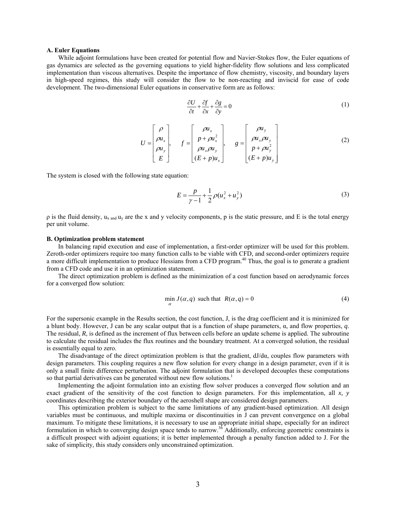#### **A. Euler Equations**

While adjoint formulations have been created for potential flow and Navier-Stokes flow, the Euler equations of gas dynamics are selected as the governing equations to yield higher-fidelity flow solutions and less complicated implementation than viscous alternatives. Despite the importance of flow chemistry, viscosity, and boundary layers in high-speed regimes, this study will consider the flow to be non-reacting and inviscid for ease of code development. The two-dimensional Euler equations in conservative form are as follows:

$$
\frac{\partial U}{\partial t} + \frac{\partial f}{\partial x} + \frac{\partial g}{\partial y} = 0\tag{1}
$$

$$
U = \begin{bmatrix} \rho \\ \rho u_x \\ \rho u_y \\ E \end{bmatrix}, \quad f = \begin{bmatrix} \rho u_x \\ p + \rho u_x^2 \\ \rho u_x \rho u_y \\ (E + p) u_x \end{bmatrix}, \quad g = \begin{bmatrix} \rho u_y \\ \rho u_x \rho u_y \\ p + \rho u_y^2 \\ (E + p) u_y \end{bmatrix}
$$
(2)

The system is closed with the following state equation:

$$
E = \frac{p}{\gamma - 1} + \frac{1}{2} \rho (u_x^2 + u_y^2)
$$
 (3)

 $\rho$  is the fluid density,  $u_x$  and  $u_y$  are the x and y velocity components, p is the static pressure, and E is the total energy per unit volume.

#### **B. Optimization problem statement**

In balancing rapid execution and ease of implementation, a first-order optimizer will be used for this problem. Zeroth-order optimizers require too many function calls to be viable with CFD, and second-order optimizers require a more difficult implementation to produce Hessians from a CFD program.<sup>40</sup> Thus, the goal is to generate a gradient from a CFD code and use it in an optimization statement.

The direct optimization problem is defined as the minimization of a cost function based on aerodynamic forces for a converged flow solution:

$$
\min_{\alpha} J(\alpha, q) \text{ such that } R(\alpha, q) = 0 \tag{4}
$$

For the supersonic example in the Results section, the cost function, J, is the drag coefficient and it is minimized for a blunt body. However, J can be any scalar output that is a function of shape parameters,  $\alpha$ , and flow properties, q. The residual, *R*, is defined as the increment of flux between cells before an update scheme is applied. The subroutine to calculate the residual includes the flux routines and the boundary treatment. At a converged solution, the residual is essentially equal to zero.

The disadvantage of the direct optimization problem is that the gradient,  $dJ/d\alpha$ , couples flow parameters with design parameters. This coupling requires a new flow solution for every change in a design parameter, even if it is only a small finite difference perturbation. The adjoint formulation that is developed decouples these computations so that partial derivatives can be generated without new flow solutions.<sup>1</sup>

Implementing the adjoint formulation into an existing flow solver produces a converged flow solution and an exact gradient of the sensitivity of the cost function to design parameters. For this implementation, all *x, y* coordinates describing the exterior boundary of the aeroshell shape are considered design parameters.

This optimization problem is subject to the same limitations of any gradient-based optimization. All design variables must be continuous, and multiple maxima or discontinuities in J can prevent convergence on a global maximum. To mitigate these limitations, it is necessary to use an appropriate initial shape, especially for an indirect formulation in which to converging design space tends to narrow.36 Additionally, enforcing geometric constraints is a difficult prospect with adjoint equations; it is better implemented through a penalty function added to J. For the sake of simplicity, this study considers only unconstrained optimization.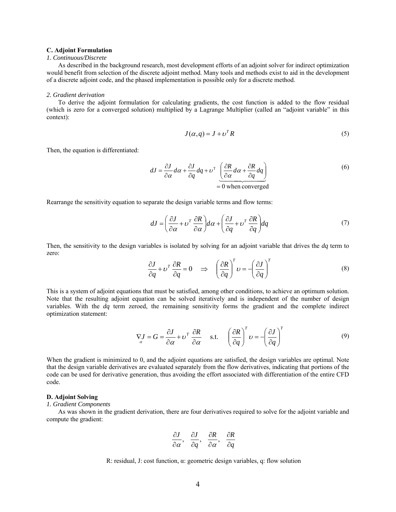## **C. Adjoint Formulation**

#### *1. Continuous/Discrete*

As described in the background research, most development efforts of an adjoint solver for indirect optimization would benefit from selection of the discrete adjoint method. Many tools and methods exist to aid in the development of a discrete adjoint code, and the phased implementation is possible only for a discrete method.

#### *2. Gradient derivation*

To derive the adjoint formulation for calculating gradients, the cost function is added to the flow residual (which is zero for a converged solution) multiplied by a Lagrange Multiplier (called an "adjoint variable" in this context):

$$
J(\alpha, q) = J + \nu^T R \tag{5}
$$

Then, the equation is differentiated:

$$
dJ = \frac{\partial J}{\partial \alpha} d\alpha + \frac{\partial J}{\partial q} dq + \nu^{\mathrm{T}} \underbrace{\left(\frac{\partial R}{\partial \alpha} d\alpha + \frac{\partial R}{\partial q} dq\right)}_{= 0 \text{ when converged}}
$$
(6)

Rearrange the sensitivity equation to separate the design variable terms and flow terms:

$$
dJ = \left(\frac{\partial J}{\partial \alpha} + \nu^T \frac{\partial R}{\partial \alpha}\right) d\alpha + \left(\frac{\partial J}{\partial q} + \nu^T \frac{\partial R}{\partial q}\right) dq
$$
 (7)

Then, the sensitivity to the design variables is isolated by solving for an adjoint variable that drives the *dq* term to zero:

$$
\frac{\partial J}{\partial q} + v^T \frac{\partial R}{\partial q} = 0 \quad \Rightarrow \quad \left(\frac{\partial R}{\partial q}\right)^T v = -\left(\frac{\partial J}{\partial q}\right)^T \tag{8}
$$

This is a system of adjoint equations that must be satisfied, among other conditions, to achieve an optimum solution. Note that the resulting adjoint equation can be solved iteratively and is independent of the number of design variables. With the *dq* term zeroed, the remaining sensitivity forms the gradient and the complete indirect optimization statement:

$$
\nabla J = G = \frac{\partial J}{\partial \alpha} + \nu^T \frac{\partial R}{\partial \alpha} \quad \text{s.t.} \quad \left(\frac{\partial R}{\partial q}\right)^T \nu = -\left(\frac{\partial J}{\partial q}\right)^T \tag{9}
$$

When the gradient is minimized to 0, and the adjoint equations are satisfied, the design variables are optimal. Note that the design variable derivatives are evaluated separately from the flow derivatives, indicating that portions of the code can be used for derivative generation, thus avoiding the effort associated with differentiation of the entire CFD code.

#### **D. Adjoint Solving**

#### *1. Gradient Components*

As was shown in the gradient derivation, there are four derivatives required to solve for the adjoint variable and compute the gradient:

$$
\frac{\partial J}{\partial \alpha}, \quad \frac{\partial J}{\partial q}, \quad \frac{\partial R}{\partial \alpha}, \quad \frac{\partial R}{\partial q}
$$

R: residual, J: cost function, 
$$
\alpha
$$
: geometric design variables, q: flow solution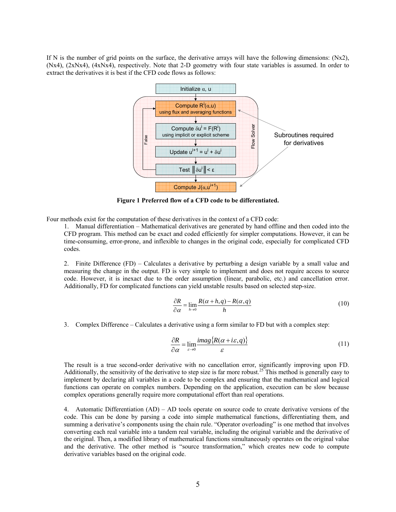If N is the number of grid points on the surface, the derivative arrays will have the following dimensions:  $(Nx2)$ , (Nx4), (2xNx4), (4xNx4), respectively. Note that 2-D geometry with four state variables is assumed. In order to extract the derivatives it is best if the CFD code flows as follows:



**Figure 1 Preferred flow of a CFD code to be differentiated.** 

Four methods exist for the computation of these derivatives in the context of a CFD code:

1. Manual differentiation – Mathematical derivatives are generated by hand offline and then coded into the CFD program. This method can be exact and coded efficiently for simpler computations. However, it can be time-consuming, error-prone, and inflexible to changes in the original code, especially for complicated CFD codes.

2. Finite Difference (FD) – Calculates a derivative by perturbing a design variable by a small value and measuring the change in the output. FD is very simple to implement and does not require access to source code. However, it is inexact due to the order assumption (linear, parabolic, etc.) and cancellation error. Additionally, FD for complicated functions can yield unstable results based on selected step-size.

$$
\frac{\partial R}{\partial \alpha} = \lim_{h \to 0} \frac{R(\alpha + h, q) - R(\alpha, q)}{h}
$$
(10)

3. Complex Difference – Calculates a derivative using a form similar to FD but with a complex step:

$$
\frac{\partial R}{\partial \alpha} = \lim_{\varepsilon \to 0} \frac{imag\{R(\alpha + i\varepsilon, q)\}}{\varepsilon} \tag{11}
$$

The result is a true second-order derivative with no cancellation error, significantly improving upon FD. Additionally, the sensitivity of the derivative to step size is far more robust.<sup>25</sup> This method is generally easy to implement by declaring all variables in a code to be complex and ensuring that the mathematical and logical functions can operate on complex numbers. Depending on the application, execution can be slow because complex operations generally require more computational effort than real operations.

4. Automatic Differentiation (AD) – AD tools operate on source code to create derivative versions of the code. This can be done by parsing a code into simple mathematical functions, differentiating them, and summing a derivative's components using the chain rule. "Operator overloading" is one method that involves converting each real variable into a tandem real variable, including the original variable and the derivative of the original. Then, a modified library of mathematical functions simultaneously operates on the original value and the derivative. The other method is "source transformation," which creates new code to compute derivative variables based on the original code.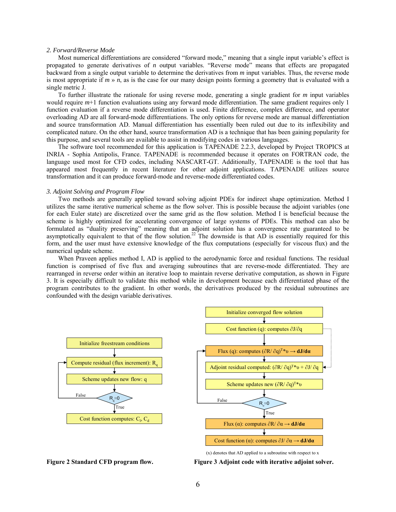## *2. Forward/Reverse Mode*

Most numerical differentiations are considered "forward mode," meaning that a single input variable's effect is propagated to generate derivatives of *n* output variables. "Reverse mode" means that effects are propagated backward from a single output variable to determine the derivatives from *m* input variables. Thus, the reverse mode is most appropriate if *m* » *n*, as is the case for our many design points forming a geometry that is evaluated with a single metric J.

To further illustrate the rationale for using reverse mode, generating a single gradient for *m* input variables would require *m*+1 function evaluations using any forward mode differentiation. The same gradient requires only 1 function evaluation if a reverse mode differentiation is used. Finite difference, complex difference, and operator overloading AD are all forward-mode differentiations. The only options for reverse mode are manual differentiation and source transformation AD. Manual differentiation has essentially been ruled out due to its inflexibility and complicated nature. On the other hand, source transformation AD is a technique that has been gaining popularity for this purpose, and several tools are available to assist in modifying codes in various languages.

The software tool recommended for this application is TAPENADE 2.2.3, developed by Project TROPICS at INRIA - Sophia Antipolis, France. TAPENADE is recommended because it operates on FORTRAN code, the language used most for CFD codes, including NASCART-GT. Additionally, TAPENADE is the tool that has appeared most frequently in recent literature for other adjoint applications. TAPENADE utilizes source transformation and it can produce forward-mode and reverse-mode differentiated codes.

## *3. Adjoint Solving and Program Flow*

Two methods are generally applied toward solving adjoint PDEs for indirect shape optimization. Method I utilizes the same iterative numerical scheme as the flow solver. This is possible because the adjoint variables (one for each Euler state) are discretized over the same grid as the flow solution. Method I is beneficial because the scheme is highly optimized for accelerating convergence of large systems of PDEs. This method can also be formulated as "duality preserving" meaning that an adjoint solution has a convergence rate guaranteed to be asymptotically equivalent to that of the flow solution.<sup>22</sup> The downside is that AD is essentially required for this form, and the user must have extensive knowledge of the flux computations (especially for viscous flux) and the numerical update scheme.

When Praveen applies method I, AD is applied to the aerodynamic force and residual functions. The residual function is comprised of five flux and averaging subroutines that are reverse-mode differentiated. They are rearranged in reverse order within an iterative loop to maintain reverse derivative computation, as shown in Figure 3. It is especially difficult to validate this method while in development because each differentiated phase of the program contributes to the gradient. In other words, the derivatives produced by the residual subroutines are confounded with the design variable derivatives.





(x) denotes that AD applied to a subroutine with respect to x

**Figure 2 Standard CFD program flow. Figure 3 Adjoint code with iterative adjoint solver.**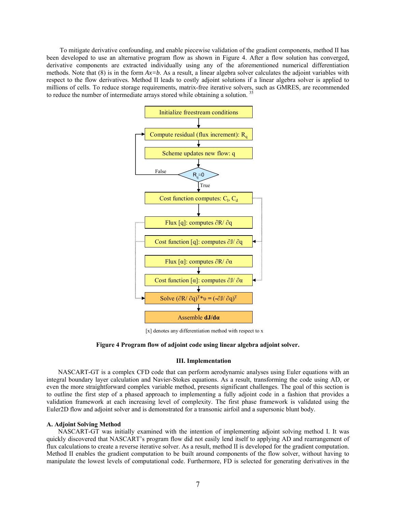To mitigate derivative confounding, and enable piecewise validation of the gradient components, method II has been developed to use an alternative program flow as shown in Figure 4. After a flow solution has converged, derivative components are extracted individually using any of the aforementioned numerical differentiation methods. Note that  $(8)$  is in the form  $Ax = b$ . As a result, a linear algebra solver calculates the adjoint variables with respect to the flow derivatives. Method II leads to costly adjoint solutions if a linear algebra solver is applied to millions of cells. To reduce storage requirements, matrix-free iterative solvers, such as GMRES, are recommended to reduce the number of intermediate arrays stored while obtaining a solution.<sup>3</sup>



[x] denotes any differentiation method with respect to x

#### **Figure 4 Program flow of adjoint code using linear algebra adjoint solver.**

#### **III. Implementation**

NASCART-GT is a complex CFD code that can perform aerodynamic analyses using Euler equations with an integral boundary layer calculation and Navier-Stokes equations. As a result, transforming the code using AD, or even the more straightforward complex variable method, presents significant challenges. The goal of this section is to outline the first step of a phased approach to implementing a fully adjoint code in a fashion that provides a validation framework at each increasing level of complexity. The first phase framework is validated using the Euler2D flow and adjoint solver and is demonstrated for a transonic airfoil and a supersonic blunt body.

## **A. Adjoint Solving Method**

NASCART-GT was initially examined with the intention of implementing adjoint solving method I. It was quickly discovered that NASCART's program flow did not easily lend itself to applying AD and rearrangement of flux calculations to create a reverse iterative solver. As a result, method II is developed for the gradient computation. Method II enables the gradient computation to be built around components of the flow solver, without having to manipulate the lowest levels of computational code. Furthermore, FD is selected for generating derivatives in the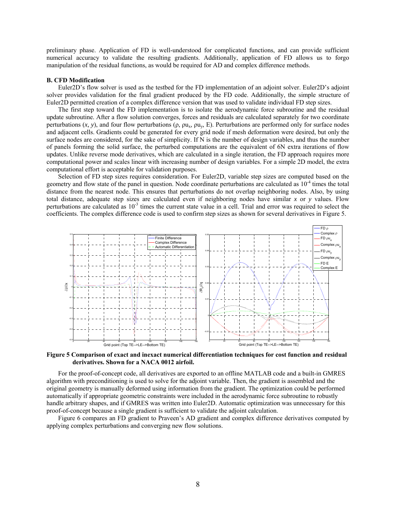preliminary phase. Application of FD is well-understood for complicated functions, and can provide sufficient numerical accuracy to validate the resulting gradients. Additionally, application of FD allows us to forgo manipulation of the residual functions, as would be required for AD and complex difference methods.

#### **B. CFD Modification**

Euler2D's flow solver is used as the testbed for the FD implementation of an adjoint solver. Euler2D's adjoint solver provides validation for the final gradient produced by the FD code. Additionally, the simple structure of Euler2D permitted creation of a complex difference version that was used to validate individual FD step sizes.

The first step toward the FD implementation is to isolate the aerodynamic force subroutine and the residual update subroutine. After a flow solution converges, forces and residuals are calculated separately for two coordinate perturbations  $(x, y)$ , and four flow perturbations  $(\rho, \rho u_x, \rho u_y, E)$ . Perturbations are performed only for surface nodes and adjacent cells. Gradients could be generated for every grid node if mesh deformation were desired, but only the surface nodes are considered, for the sake of simplicity. If N is the number of design variables, and thus the number of panels forming the solid surface, the perturbed computations are the equivalent of 6N extra iterations of flow updates. Unlike reverse mode derivatives, which are calculated in a single iteration, the FD approach requires more computational power and scales linear with increasing number of design variables. For a simple 2D model, the extra computational effort is acceptable for validation purposes.

Selection of FD step sizes requires consideration. For Euler2D, variable step sizes are computed based on the geometry and flow state of the panel in question. Node coordinate perturbations are calculated as  $10^{-4}$  times the total distance from the nearest node. This ensures that perturbations do not overlap neighboring nodes. Also, by using total distance, adequate step sizes are calculated even if neighboring nodes have similar *x* or *y* values. Flow perturbations are calculated as  $10<sup>3</sup>$  times the current state value in a cell. Trial and error was required to select the coefficients. The complex difference code is used to confirm step sizes as shown for several derivatives in Figure 5.



**Figure 5 Comparison of exact and inexact numerical differentiation techniques for cost function and residual derivatives. Shown for a NACA 0012 airfoil.** 

For the proof-of-concept code, all derivatives are exported to an offline MATLAB code and a built-in GMRES algorithm with preconditioning is used to solve for the adjoint variable. Then, the gradient is assembled and the original geometry is manually deformed using information from the gradient. The optimization could be performed automatically if appropriate geometric constraints were included in the aerodynamic force subroutine to robustly handle arbitrary shapes, and if GMRES was written into Euler2D. Automatic optimization was unnecessary for this proof-of-concept because a single gradient is sufficient to validate the adjoint calculation.

Figure 6 compares an FD gradient to Praveen's AD gradient and complex difference derivatives computed by applying complex perturbations and converging new flow solutions.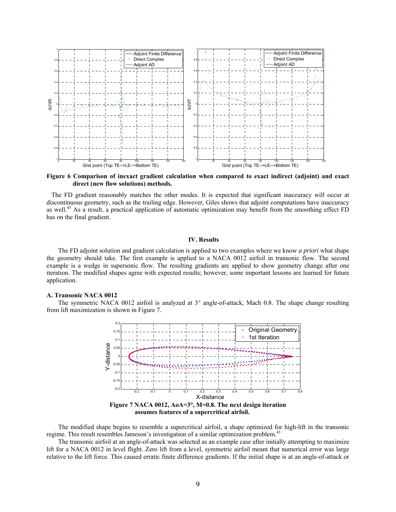

**Figure 6 Comparison of inexact gradient calculation when compared to exact indirect (adjoint) and exact direct (new flow solutions) methods.** 

 The FD gradient reasonably matches the other modes. It is expected that significant inaccuracy will occur at discontinuous geometry, such as the trailing edge. However, Giles shows that adjoint computations have inaccuracy as well.<sup>45</sup> As a result, a practical application of automatic optimization may benefit from the smoothing effect FD has on the final gradient.

## **IV. Results**

The FD adjoint solution and gradient calculation is applied to two examples where we know *a priori* what shape the geometry should take. The first example is applied to a NACA 0012 airfoil in transonic flow. The second example is a wedge in supersonic flow. The resulting gradients are applied to show geometry change after one iteration. The modified shapes agree with expected results; however, some important lessons are learned for future application.

#### **A. Transonic NACA 0012**

The symmetric NACA 0012 airfoil is analyzed at 3° angle-of-attack, Mach 0.8. The shape change resulting from lift maximization is shown in Figure 7.



**assumes features of a supercritical airfoil. .**

The modified shape begins to resemble a supercritical airfoil, a shape optimized for high-lift in the transonic regime. This result resembles Jameson's investigation of a similar optimization problem.<sup>43</sup>

The transonic airfoil at an angle-of-attack was selected as an example case after initially attempting to maximize lift for a NACA 0012 in level flight. Zero lift from a level, symmetric airfoil meant that numerical error was large relative to the lift force. This caused erratic finite difference gradients. If the initial shape is at an angle-of-attack or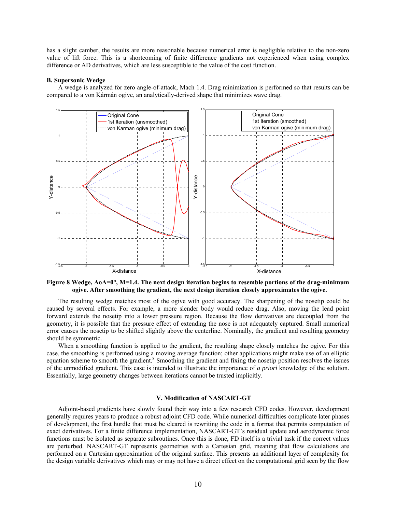has a slight camber, the results are more reasonable because numerical error is negligible relative to the non-zero value of lift force. This is a shortcoming of finite difference gradients not experienced when using complex difference or AD derivatives, which are less susceptible to the value of the cost function.

#### **B. Supersonic Wedge**

A wedge is analyzed for zero angle-of-attack, Mach 1.4. Drag minimization is performed so that results can be compared to a von Kármán ogive, an analytically-derived shape that minimizes wave drag.



**Figure 8 Wedge, AoA=0°, M=1.4. The next design iteration begins to resemble portions of the drag-minimum ogive. After smoothing the gradient, the next design iteration closely approximates the ogive.** 

The resulting wedge matches most of the ogive with good accuracy. The sharpening of the nosetip could be caused by several effects. For example, a more slender body would reduce drag. Also, moving the lead point forward extends the nosetip into a lower pressure region. Because the flow derivatives are decoupled from the geometry, it is possible that the pressure effect of extending the nose is not adequately captured. Small numerical error causes the nosetip to be shifted slightly above the centerline. Nominally, the gradient and resulting geometry should be symmetric.

When a smoothing function is applied to the gradient, the resulting shape closely matches the ogive. For this case, the smoothing is performed using a moving average function; other applications might make use of an elliptic equation scheme to smooth the gradient.<sup>8</sup> Smoothing the gradient and fixing the nosetip position resolves the issues of the unmodified gradient. This case is intended to illustrate the importance of *a priori* knowledge of the solution. Essentially, large geometry changes between iterations cannot be trusted implicitly.

## **V. Modification of NASCART-GT**

Adjoint-based gradients have slowly found their way into a few research CFD codes. However, development generally requires years to produce a robust adjoint CFD code. While numerical difficulties complicate later phases of development, the first hurdle that must be cleared is rewriting the code in a format that permits computation of exact derivatives. For a finite difference implementation, NASCART-GT's residual update and aerodynamic force functions must be isolated as separate subroutines. Once this is done, FD itself is a trivial task if the correct values are perturbed. NASCART-GT represents geometries with a Cartesian grid, meaning that flow calculations are performed on a Cartesian approximation of the original surface. This presents an additional layer of complexity for the design variable derivatives which may or may not have a direct effect on the computational grid seen by the flow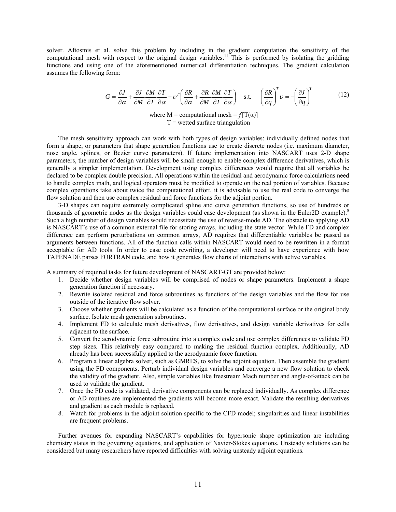solver. Aftosmis et al. solve this problem by including in the gradient computation the sensitivity of the computational mesh with respect to the original design variables.<sup>11</sup> This is performed by isolating the gridding functions and using one of the aforementioned numerical differentiation techniques. The gradient calculation assumes the following form:

$$
G = \frac{\partial J}{\partial \alpha} + \frac{\partial J}{\partial M} \frac{\partial M}{\partial T} \frac{\partial T}{\partial \alpha} + \nu^T \left( \frac{\partial R}{\partial \alpha} + \frac{\partial R}{\partial M} \frac{\partial M}{\partial T} \frac{\partial T}{\partial \alpha} \right) \quad \text{s.t.} \quad \left( \frac{\partial R}{\partial q} \right)^T \nu = -\left( \frac{\partial J}{\partial q} \right)^T \tag{12}
$$

where  $M =$  computational mesh =  $f[T(\alpha)]$  $T$  = wetted surface triangulation

The mesh sensitivity approach can work with both types of design variables: individually defined nodes that form a shape, or parameters that shape generation functions use to create discrete nodes (i.e. maximum diameter, nose angle, splines, or Bezier curve parameters). If future implementation into NASCART uses 2-D shape parameters, the number of design variables will be small enough to enable complex difference derivatives, which is generally a simpler implementation. Development using complex differences would require that all variables be declared to be complex double precision. All operations within the residual and aerodynamic force calculations need to handle complex math, and logical operators must be modified to operate on the real portion of variables. Because complex operations take about twice the computational effort, it is advisable to use the real code to converge the flow solution and then use complex residual and force functions for the adjoint portion.

3-D shapes can require extremely complicated spline and curve generation functions, so use of hundreds or thousands of geometric nodes as the design variables could ease development (as shown in the Euler2D example).<sup>8</sup> Such a high number of design variables would necessitate the use of reverse-mode AD. The obstacle to applying AD is NASCART's use of a common external file for storing arrays, including the state vector. While FD and complex difference can perform perturbations on common arrays, AD requires that differentiable variables be passed as arguments between functions. All of the function calls within NASCART would need to be rewritten in a format acceptable for AD tools. In order to ease code rewriting, a developer will need to have experience with how TAPENADE parses FORTRAN code, and how it generates flow charts of interactions with active variables.

A summary of required tasks for future development of NASCART-GT are provided below:

- 1. Decide whether design variables will be comprised of nodes or shape parameters. Implement a shape generation function if necessary.
- 2. Rewrite isolated residual and force subroutines as functions of the design variables and the flow for use outside of the iterative flow solver.
- 3. Choose whether gradients will be calculated as a function of the computational surface or the original body surface. Isolate mesh generation subroutines.
- 4. Implement FD to calculate mesh derivatives, flow derivatives, and design variable derivatives for cells adjacent to the surface.
- 5. Convert the aerodynamic force subroutine into a complex code and use complex differences to validate FD step sizes. This relatively easy compared to making the residual function complex. Additionally, AD already has been successfully applied to the aerodynamic force function.
- 6. Program a linear algebra solver, such as GMRES, to solve the adjoint equation. Then assemble the gradient using the FD components. Perturb individual design variables and converge a new flow solution to check the validity of the gradient. Also, simple variables like freestream Mach number and angle-of-attack can be used to validate the gradient.
- 7. Once the FD code is validated, derivative components can be replaced individually. As complex difference or AD routines are implemented the gradients will become more exact. Validate the resulting derivatives and gradient as each module is replaced.
- 8. Watch for problems in the adjoint solution specific to the CFD model; singularities and linear instabilities are frequent problems.

Further avenues for expanding NASCART's capabilities for hypersonic shape optimization are including chemistry states in the governing equations, and application of Navier-Stokes equations. Unsteady solutions can be considered but many researchers have reported difficulties with solving unsteady adjoint equations.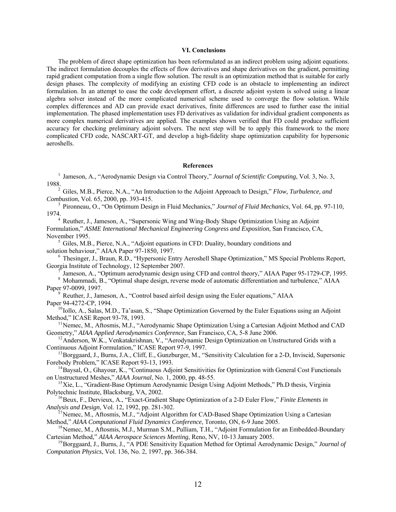## **VI. Conclusions**

The problem of direct shape optimization has been reformulated as an indirect problem using adjoint equations. The indirect formulation decouples the effects of flow derivatives and shape derivatives on the gradient, permitting rapid gradient computation from a single flow solution. The result is an optimization method that is suitable for early design phases. The complexity of modifying an existing CFD code is an obstacle to implementing an indirect formulation. In an attempt to ease the code development effort, a discrete adjoint system is solved using a linear algebra solver instead of the more complicated numerical scheme used to converge the flow solution. While complex differences and AD can provide exact derivatives, finite differences are used to further ease the initial implementation. The phased implementation uses FD derivatives as validation for individual gradient components as more complex numerical derivatives are applied. The examples shown verified that FD could produce sufficient accuracy for checking preliminary adjoint solvers. The next step will be to apply this framework to the more complicated CFD code, NASCART-GT, and develop a high-fidelity shape optimization capability for hypersonic aeroshells.

#### **References**

<sup>1</sup> Jameson, A., "Aerodynamic Design via Control Theory," *Journal of Scientific Computing*, Vol. 3, No. 3, 1988.

<sup>2</sup> Giles, M.B., Pierce, N.A., "An Introduction to the Adjoint Approach to Design," *Flow, Turbulence, and Combustion*, Vol. 65, 2000, pp. 393-415.

<sup>3</sup> Pironneau, O., "On Optimum Design in Fluid Mechanics," *Journal of Fluid Mechanics*, Vol. 64, pp. 97-110, 1974. 4 Reuther, J., Jameson, A., "Supersonic Wing and Wing-Body Shape Optimization Using an Adjoint

Formulation," *ASME International Mechanical Engineering Congress and Exposition*, San Francisco, CA,

November 1995.<br><sup>5</sup> Giles, M.B., Pierce, N.A., "Adjoint equations in CFD: Duality, boundary conditions and solution behaviour," AIAA Paper 97-1850, 1997.

 $\frac{6}{5}$  Thesinger, J., Braun, R.D., "Hypersonic Entry Aeroshell Shape Optimization," MS Special Problems Report, Georgia Institute of Technology, 12 September 2007.

 $\sigma$  Jameson, A., "Optimum aerodynamic design using CFD and control theory," AIAA Paper 95-1729-CP, 1995.<br><sup>8</sup> Mohammadi, B., "Optimal shape design, reverse mode of automatic differentiation and turbulence," AIAA Paper 97-

<sup>9</sup> Reuther, J., Jameson, A., "Control based airfoil design using the Euler equations," AIAA<br>Paper 94-4272-CP, 1994.

 $P^{10}$ Iollo, A., Salas, M.D., Ta'asan, S., "Shape Optimization Governed by the Euler Equations using an Adjoint Method," ICASE Report 93-78, 1993.

 $^{11}$ Nemec, M., Aftosmis, M.J., "Aerodynamic Shape Optimization Using a Cartesian Adjoint Method and CAD Geometry," *AIAA Applied Aerodynamics Conference*, San Francisco, CA, 5-8 June 2006.

<sup>12</sup> Anderson, W.K., Venkatakrishnan, V., "Aerodynamic Design Optimization on Unstructured Grids with a

Continuous Adjoint Formulation," ICASE Report 97-9, 1997.<br><sup>13</sup>Borggaard, J., Burns, J.A., Cliff, E., Gunzburger, M., "Sensitivity Calculation for a 2-D, Inviscid, Supersonic<br>Forebody Problem," ICASE Report 93-13, 1993.

<sup>14</sup> Baysal, O., Ghayour, K., "Continuous Adjoint Sensitivities for Optimization with General Cost Functionals on Unstructured Meshes," *AIAA Journal*, No. 1, 2000, pp. 48-55.

<sup>15</sup>Xie, L., "Gradient-Base Optimum Aerodynamic Design Using Adjoint Methods," Ph.D thesis, Virginia Polytechnic Institute, Blacksburg, VA, 2002.<br><sup>16</sup>Beux, F., Dervieux, A., "Exact-Gradient Shape Optimization of a 2-D Euler Flow," *Finite Elements in* 

*Analysis and Design*, Vol. 12, 1992, pp. 281-302.<br><sup>17</sup>Nemec, M., Aftosmis, M.J., "Adjoint Algorithm for CAD-Based Shape Optimization Using a Cartesian

Method," *AIAA Computational Fluid Dynamics Conference*, Toronto, ON, 6-9 June 2005.<br><sup>18</sup>Nemec, M., Aftosmis, M.J., Murman S.M., Pulliam, T.H., "Adjoint Formulation for an Embedded-Boundary

Cartesian Method," *AIAA Aerospace Sciences Meeting*, Reno, NV, 10-13 January 2005.<br><sup>19</sup>Borggaard, J., Burns, J., "A PDE Sensitivity Equation Method for Optimal Aerodynamic Design," *Journal of* 

*Computation Physics*, Vol. 136, No. 2, 1997, pp. 366-384.